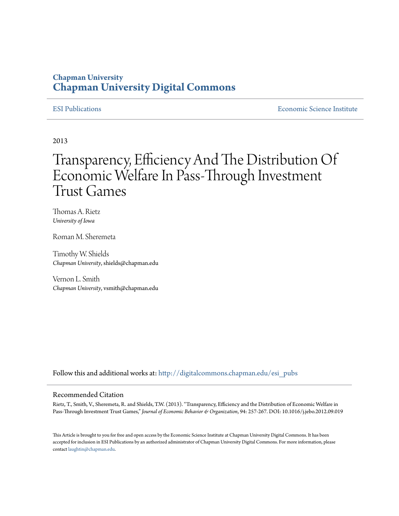## **Chapman University [Chapman University Digital Commons](http://digitalcommons.chapman.edu?utm_source=digitalcommons.chapman.edu%2Fesi_pubs%2F66&utm_medium=PDF&utm_campaign=PDFCoverPages)**

[ESI Publications](http://digitalcommons.chapman.edu/esi_pubs?utm_source=digitalcommons.chapman.edu%2Fesi_pubs%2F66&utm_medium=PDF&utm_campaign=PDFCoverPages) [Economic Science Institute](http://digitalcommons.chapman.edu/esi?utm_source=digitalcommons.chapman.edu%2Fesi_pubs%2F66&utm_medium=PDF&utm_campaign=PDFCoverPages)

#### 2013

# Transparency, Efficiency And The Distribution Of Economic Welfare In Pass-Through Investment Trust Games

Thomas A. Rietz *University of Iowa*

Roman M. Sheremeta

Timothy W. Shields *Chapman University*, shields@chapman.edu

Vernon L. Smith *Chapman University*, vsmith@chapman.edu

Follow this and additional works at: [http://digitalcommons.chapman.edu/esi\\_pubs](http://digitalcommons.chapman.edu/esi_pubs?utm_source=digitalcommons.chapman.edu%2Fesi_pubs%2F66&utm_medium=PDF&utm_campaign=PDFCoverPages)

#### Recommended Citation

Rietz, T., Smith, V., Sheremeta, R. and Shields, T.W. (2013). "Transparency, Efficiency and the Distribution of Economic Welfare in Pass-Through Investment Trust Games," *Journal of Economic Behavior & Organization*, 94: 257-267. DOI: 10.1016/j.jebo.2012.09.019

This Article is brought to you for free and open access by the Economic Science Institute at Chapman University Digital Commons. It has been accepted for inclusion in ESI Publications by an authorized administrator of Chapman University Digital Commons. For more information, please contact [laughtin@chapman.edu](mailto:laughtin@chapman.edu).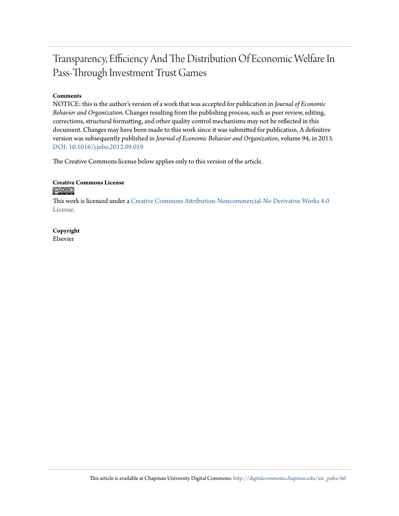# Transparency, Efficiency And The Distribution Of Economic Welfare In Pass-Through Investment Trust Games

#### **Comments**

NOTICE: this is the author's version of a work that was accepted for publication in *Journal of Economic Behavior and Organization*. Changes resulting from the publishing process, such as peer review, editing, corrections, structural formatting, and other quality control mechanisms may not be reflected in this document. Changes may have been made to this work since it was submitted for publication. A definitive version was subsequently published in *Journal of Economic Behavior and Organization*, volume 94, in 2013. [DOI: 10.1016/j.jebo.2012.09.019](http://dx.doi.org/10.1016/j.jebo.2012.09.019)

The Creative Commons license below applies only to this version of the article.

#### **Creative Commons License**  $\bigcirc$   $\circ$

This work is licensed under a [Creative Commons Attribution-Noncommercial-No Derivative Works 4.0](http://creativecommons.org/licenses/by-nc-nd/4.0/) [License.](http://creativecommons.org/licenses/by-nc-nd/4.0/)

**Copyright** Elsevier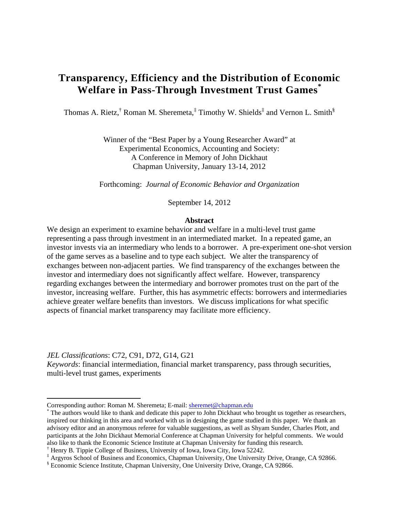# **Transparency, Efficiency and the Distribution of Economic Welfare in Pass-Through Investment Trust Games\***

Thomas A. Rietz,<sup>†</sup> Roman M. Sheremeta,<sup>‡</sup> Timothy W. Shields<sup>‡</sup> and Vernon L. Smith<sup>§</sup>

Winner of the "Best Paper by a Young Researcher Award" at Experimental Economics, Accounting and Society: A Conference in Memory of John Dickhaut Chapman University, January 13-14, 2012

Forthcoming: *Journal of Economic Behavior and Organization*

September 14, 2012

#### **Abstract**

We design an experiment to examine behavior and welfare in a multi-level trust game representing a pass through investment in an intermediated market. In a repeated game, an investor invests via an intermediary who lends to a borrower. A pre-experiment one-shot version of the game serves as a baseline and to type each subject. We alter the transparency of exchanges between non-adjacent parties. We find transparency of the exchanges between the investor and intermediary does not significantly affect welfare. However, transparency regarding exchanges between the intermediary and borrower promotes trust on the part of the investor, increasing welfare. Further, this has asymmetric effects: borrowers and intermediaries achieve greater welfare benefits than investors. We discuss implications for what specific aspects of financial market transparency may facilitate more efficiency.

*JEL Classifications*: C72, C91, D72, G14, G21

l

*Keywords*: financial intermediation, financial market transparency, pass through securities, multi-level trust games, experiments

Corresponding author: Roman M. Sheremeta; E-mail: sheremet@chapman.edu

The authors would like to thank and dedicate this paper to John Dickhaut who brought us together as researchers, inspired our thinking in this area and worked with us in designing the game studied in this paper. We thank an advisory editor and an anonymous referee for valuable suggestions, as well as Shyam Sunder, Charles Plott, and participants at the John Dickhaut Memorial Conference at Chapman University for helpful comments. We would also like to thank the Economic Science Institute at Chapman University for funding this research.

<sup>†</sup> Henry B. Tippie College of Business, University of Iowa, Iowa City, Iowa 52242.

<sup>‡</sup> Argyros School of Business and Economics, Chapman University, One University Drive, Orange, CA 92866.

<sup>§</sup> Economic Science Institute, Chapman University, One University Drive, Orange, CA 92866.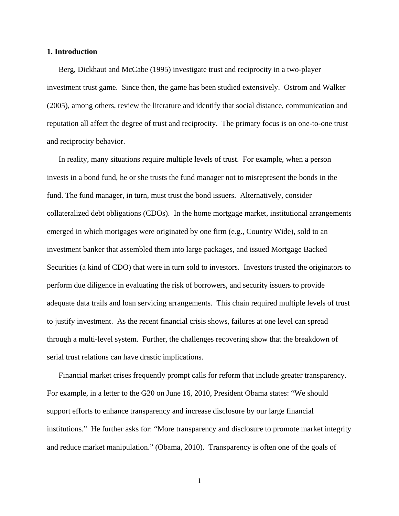#### **1. Introduction**

Berg, Dickhaut and McCabe (1995) investigate trust and reciprocity in a two-player investment trust game. Since then, the game has been studied extensively. Ostrom and Walker (2005), among others, review the literature and identify that social distance, communication and reputation all affect the degree of trust and reciprocity. The primary focus is on one-to-one trust and reciprocity behavior.

In reality, many situations require multiple levels of trust. For example, when a person invests in a bond fund, he or she trusts the fund manager not to misrepresent the bonds in the fund. The fund manager, in turn, must trust the bond issuers. Alternatively, consider collateralized debt obligations (CDOs). In the home mortgage market, institutional arrangements emerged in which mortgages were originated by one firm (e.g., Country Wide), sold to an investment banker that assembled them into large packages, and issued Mortgage Backed Securities (a kind of CDO) that were in turn sold to investors. Investors trusted the originators to perform due diligence in evaluating the risk of borrowers, and security issuers to provide adequate data trails and loan servicing arrangements. This chain required multiple levels of trust to justify investment. As the recent financial crisis shows, failures at one level can spread through a multi-level system. Further, the challenges recovering show that the breakdown of serial trust relations can have drastic implications.

Financial market crises frequently prompt calls for reform that include greater transparency. For example, in a letter to the G20 on June 16, 2010, President Obama states: "We should support efforts to enhance transparency and increase disclosure by our large financial institutions." He further asks for: "More transparency and disclosure to promote market integrity and reduce market manipulation." (Obama, 2010). Transparency is often one of the goals of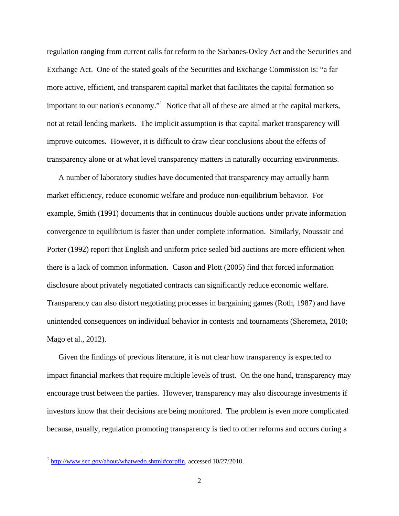regulation ranging from current calls for reform to the Sarbanes-Oxley Act and the Securities and Exchange Act. One of the stated goals of the Securities and Exchange Commission is: "a far more active, efficient, and transparent capital market that facilitates the capital formation so important to our nation's economy."<sup>1</sup> Notice that all of these are aimed at the capital markets, not at retail lending markets. The implicit assumption is that capital market transparency will improve outcomes. However, it is difficult to draw clear conclusions about the effects of transparency alone or at what level transparency matters in naturally occurring environments.

A number of laboratory studies have documented that transparency may actually harm market efficiency, reduce economic welfare and produce non-equilibrium behavior. For example, Smith (1991) documents that in continuous double auctions under private information convergence to equilibrium is faster than under complete information. Similarly, Noussair and Porter (1992) report that English and uniform price sealed bid auctions are more efficient when there is a lack of common information. Cason and Plott (2005) find that forced information disclosure about privately negotiated contracts can significantly reduce economic welfare. Transparency can also distort negotiating processes in bargaining games (Roth, 1987) and have unintended consequences on individual behavior in contests and tournaments (Sheremeta, 2010; Mago et al., 2012).

Given the findings of previous literature, it is not clear how transparency is expected to impact financial markets that require multiple levels of trust. On the one hand, transparency may encourage trust between the parties. However, transparency may also discourage investments if investors know that their decisions are being monitored. The problem is even more complicated because, usually, regulation promoting transparency is tied to other reforms and occurs during a

 $\overline{\phantom{a}}$ 

 $1 \frac{\text{http://www.sec.gov/about/whatwedo.shtml#corpfin, accessed }{0/27/2010.}$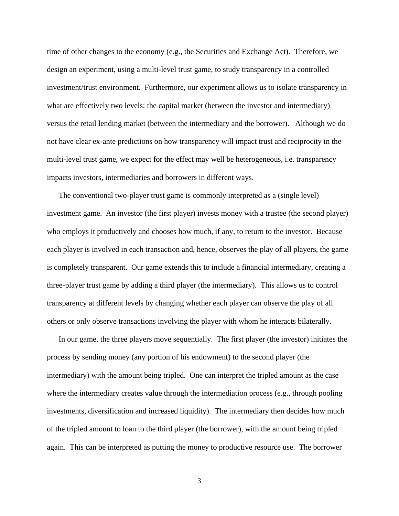time of other changes to the economy (e.g., the Securities and Exchange Act). Therefore, we design an experiment, using a multi-level trust game, to study transparency in a controlled investment/trust environment. Furthermore, our experiment allows us to isolate transparency in what are effectively two levels: the capital market (between the investor and intermediary) versus the retail lending market (between the intermediary and the borrower). Although we do not have clear ex-ante predictions on how transparency will impact trust and reciprocity in the multi-level trust game, we expect for the effect may well be heterogeneous, i.e. transparency impacts investors, intermediaries and borrowers in different ways.

The conventional two-player trust game is commonly interpreted as a (single level) investment game. An investor (the first player) invests money with a trustee (the second player) who employs it productively and chooses how much, if any, to return to the investor. Because each player is involved in each transaction and, hence, observes the play of all players, the game is completely transparent. Our game extends this to include a financial intermediary, creating a three-player trust game by adding a third player (the intermediary). This allows us to control transparency at different levels by changing whether each player can observe the play of all others or only observe transactions involving the player with whom he interacts bilaterally.

In our game, the three players move sequentially. The first player (the investor) initiates the process by sending money (any portion of his endowment) to the second player (the intermediary) with the amount being tripled. One can interpret the tripled amount as the case where the intermediary creates value through the intermediation process (e.g., through pooling investments, diversification and increased liquidity). The intermediary then decides how much of the tripled amount to loan to the third player (the borrower), with the amount being tripled again. This can be interpreted as putting the money to productive resource use. The borrower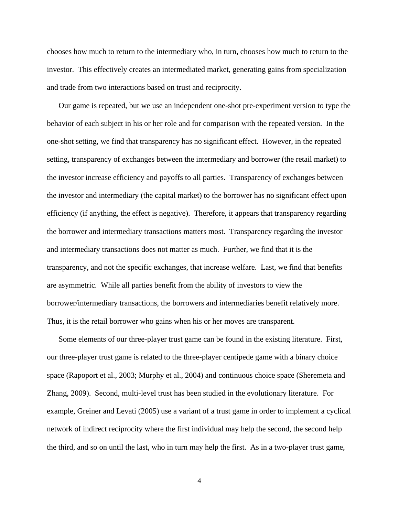chooses how much to return to the intermediary who, in turn, chooses how much to return to the investor. This effectively creates an intermediated market, generating gains from specialization and trade from two interactions based on trust and reciprocity.

Our game is repeated, but we use an independent one-shot pre-experiment version to type the behavior of each subject in his or her role and for comparison with the repeated version. In the one-shot setting, we find that transparency has no significant effect. However, in the repeated setting, transparency of exchanges between the intermediary and borrower (the retail market) to the investor increase efficiency and payoffs to all parties. Transparency of exchanges between the investor and intermediary (the capital market) to the borrower has no significant effect upon efficiency (if anything, the effect is negative). Therefore, it appears that transparency regarding the borrower and intermediary transactions matters most. Transparency regarding the investor and intermediary transactions does not matter as much. Further, we find that it is the transparency, and not the specific exchanges, that increase welfare. Last, we find that benefits are asymmetric. While all parties benefit from the ability of investors to view the borrower/intermediary transactions, the borrowers and intermediaries benefit relatively more. Thus, it is the retail borrower who gains when his or her moves are transparent.

Some elements of our three-player trust game can be found in the existing literature. First, our three-player trust game is related to the three-player centipede game with a binary choice space (Rapoport et al., 2003; Murphy et al., 2004) and continuous choice space (Sheremeta and Zhang, 2009). Second, multi-level trust has been studied in the evolutionary literature. For example, Greiner and Levati (2005) use a variant of a trust game in order to implement a cyclical network of indirect reciprocity where the first individual may help the second, the second help the third, and so on until the last, who in turn may help the first. As in a two-player trust game,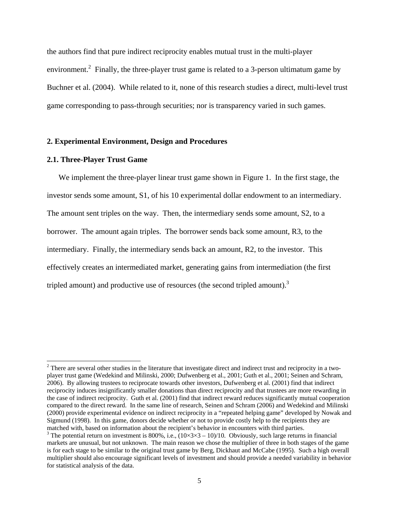the authors find that pure indirect reciprocity enables mutual trust in the multi-player environment.<sup>2</sup> Finally, the three-player trust game is related to a 3-person ultimatum game by Buchner et al. (2004). While related to it, none of this research studies a direct, multi-level trust game corresponding to pass-through securities; nor is transparency varied in such games.

#### **2. Experimental Environment, Design and Procedures**

#### **2.1. Three-Player Trust Game**

l

We implement the three-player linear trust game shown in Figure 1. In the first stage, the investor sends some amount, S1, of his 10 experimental dollar endowment to an intermediary. The amount sent triples on the way. Then, the intermediary sends some amount, S2, to a borrower. The amount again triples. The borrower sends back some amount, R3, to the intermediary. Finally, the intermediary sends back an amount, R2, to the investor. This effectively creates an intermediated market, generating gains from intermediation (the first tripled amount) and productive use of resources (the second tripled amount).<sup>3</sup>

 $2<sup>2</sup>$  There are several other studies in the literature that investigate direct and indirect trust and reciprocity in a twoplayer trust game (Wedekind and Milinski, 2000; Dufwenberg et al., 2001; Guth et al., 2001; Seinen and Schram, 2006). By allowing trustees to reciprocate towards other investors, Dufwenberg et al. (2001) find that indirect reciprocity induces insignificantly smaller donations than direct reciprocity and that trustees are more rewarding in the case of indirect reciprocity. Guth et al. (2001) find that indirect reward reduces significantly mutual cooperation compared to the direct reward. In the same line of research, Seinen and Schram (2006) and Wedekind and Milinski (2000) provide experimental evidence on indirect reciprocity in a "repeated helping game" developed by Nowak and Sigmund (1998). In this game, donors decide whether or not to provide costly help to the recipients they are matched with, based on information about the recipient's behavior in encounters with third parties.

<sup>&</sup>lt;sup>3</sup> The potential return on investment is 800%, i.e.,  $(10 \times 3 \times 3 - 10)/10$ . Obviously, such large returns in financial markets are unusual, but not unknown. The main reason we chose the multiplier of three in both stages of the game is for each stage to be similar to the original trust game by Berg, Dickhaut and McCabe (1995). Such a high overall multiplier should also encourage significant levels of investment and should provide a needed variability in behavior for statistical analysis of the data.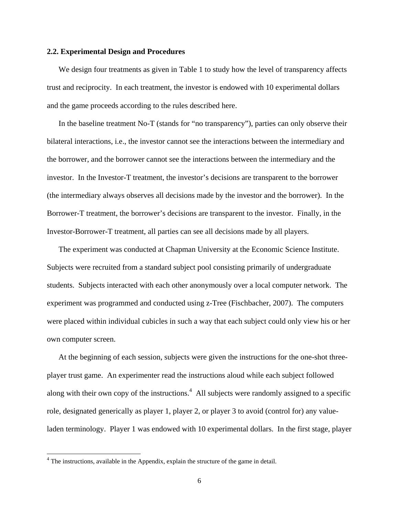#### **2.2. Experimental Design and Procedures**

We design four treatments as given in Table 1 to study how the level of transparency affects trust and reciprocity. In each treatment, the investor is endowed with 10 experimental dollars and the game proceeds according to the rules described here.

In the baseline treatment No-T (stands for "no transparency"), parties can only observe their bilateral interactions, i.e., the investor cannot see the interactions between the intermediary and the borrower, and the borrower cannot see the interactions between the intermediary and the investor. In the Investor-T treatment, the investor's decisions are transparent to the borrower (the intermediary always observes all decisions made by the investor and the borrower). In the Borrower-T treatment, the borrower's decisions are transparent to the investor. Finally, in the Investor-Borrower-T treatment, all parties can see all decisions made by all players.

The experiment was conducted at Chapman University at the Economic Science Institute. Subjects were recruited from a standard subject pool consisting primarily of undergraduate students. Subjects interacted with each other anonymously over a local computer network. The experiment was programmed and conducted using z-Tree (Fischbacher, 2007). The computers were placed within individual cubicles in such a way that each subject could only view his or her own computer screen.

At the beginning of each session, subjects were given the instructions for the one-shot threeplayer trust game. An experimenter read the instructions aloud while each subject followed along with their own copy of the instructions.<sup>4</sup> All subjects were randomly assigned to a specific role, designated generically as player 1, player 2, or player 3 to avoid (control for) any valueladen terminology. Player 1 was endowed with 10 experimental dollars. In the first stage, player

<sup>&</sup>lt;sup>4</sup> The instructions, available in the Appendix, explain the structure of the game in detail.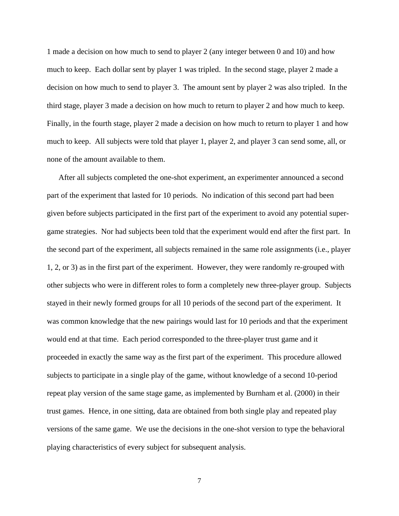1 made a decision on how much to send to player 2 (any integer between 0 and 10) and how much to keep. Each dollar sent by player 1 was tripled. In the second stage, player 2 made a decision on how much to send to player 3. The amount sent by player 2 was also tripled. In the third stage, player 3 made a decision on how much to return to player 2 and how much to keep. Finally, in the fourth stage, player 2 made a decision on how much to return to player 1 and how much to keep. All subjects were told that player 1, player 2, and player 3 can send some, all, or none of the amount available to them.

After all subjects completed the one-shot experiment, an experimenter announced a second part of the experiment that lasted for 10 periods. No indication of this second part had been given before subjects participated in the first part of the experiment to avoid any potential supergame strategies. Nor had subjects been told that the experiment would end after the first part. In the second part of the experiment, all subjects remained in the same role assignments (i.e., player 1, 2, or 3) as in the first part of the experiment. However, they were randomly re-grouped with other subjects who were in different roles to form a completely new three-player group. Subjects stayed in their newly formed groups for all 10 periods of the second part of the experiment. It was common knowledge that the new pairings would last for 10 periods and that the experiment would end at that time. Each period corresponded to the three-player trust game and it proceeded in exactly the same way as the first part of the experiment. This procedure allowed subjects to participate in a single play of the game, without knowledge of a second 10-period repeat play version of the same stage game, as implemented by Burnham et al. (2000) in their trust games. Hence, in one sitting, data are obtained from both single play and repeated play versions of the same game. We use the decisions in the one-shot version to type the behavioral playing characteristics of every subject for subsequent analysis.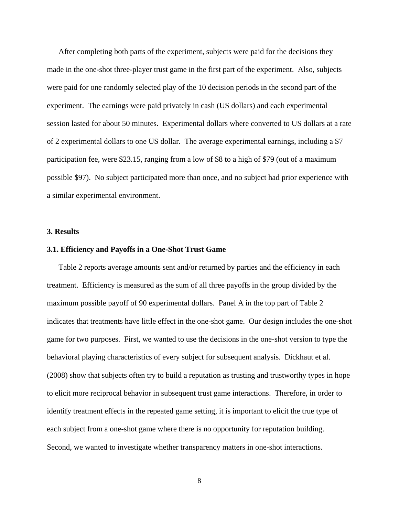After completing both parts of the experiment, subjects were paid for the decisions they made in the one-shot three-player trust game in the first part of the experiment. Also, subjects were paid for one randomly selected play of the 10 decision periods in the second part of the experiment. The earnings were paid privately in cash (US dollars) and each experimental session lasted for about 50 minutes. Experimental dollars where converted to US dollars at a rate of 2 experimental dollars to one US dollar. The average experimental earnings, including a \$7 participation fee, were \$23.15, ranging from a low of \$8 to a high of \$79 (out of a maximum possible \$97). No subject participated more than once, and no subject had prior experience with a similar experimental environment.

#### **3. Results**

#### **3.1. Efficiency and Payoffs in a One-Shot Trust Game**

Table 2 reports average amounts sent and/or returned by parties and the efficiency in each treatment. Efficiency is measured as the sum of all three payoffs in the group divided by the maximum possible payoff of 90 experimental dollars. Panel A in the top part of Table 2 indicates that treatments have little effect in the one-shot game. Our design includes the one-shot game for two purposes. First, we wanted to use the decisions in the one-shot version to type the behavioral playing characteristics of every subject for subsequent analysis. Dickhaut et al. (2008) show that subjects often try to build a reputation as trusting and trustworthy types in hope to elicit more reciprocal behavior in subsequent trust game interactions. Therefore, in order to identify treatment effects in the repeated game setting, it is important to elicit the true type of each subject from a one-shot game where there is no opportunity for reputation building. Second, we wanted to investigate whether transparency matters in one-shot interactions.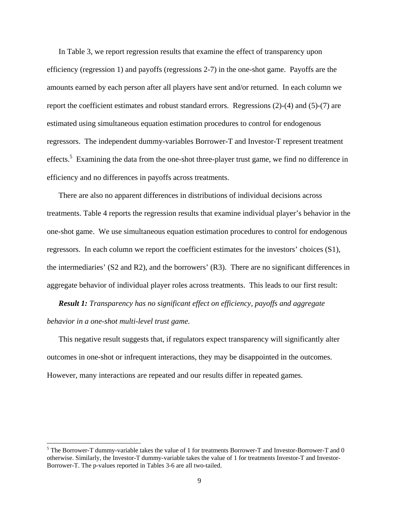In Table 3, we report regression results that examine the effect of transparency upon efficiency (regression 1) and payoffs (regressions 2-7) in the one-shot game. Payoffs are the amounts earned by each person after all players have sent and/or returned. In each column we report the coefficient estimates and robust standard errors. Regressions (2)-(4) and (5)-(7) are estimated using simultaneous equation estimation procedures to control for endogenous regressors. The independent dummy-variables Borrower-T and Investor-T represent treatment effects.<sup>5</sup> Examining the data from the one-shot three-player trust game, we find no difference in efficiency and no differences in payoffs across treatments.

There are also no apparent differences in distributions of individual decisions across treatments. Table 4 reports the regression results that examine individual player's behavior in the one-shot game. We use simultaneous equation estimation procedures to control for endogenous regressors. In each column we report the coefficient estimates for the investors' choices (S1), the intermediaries' (S2 and R2), and the borrowers' (R3). There are no significant differences in aggregate behavior of individual player roles across treatments. This leads to our first result:

*Result 1: Transparency has no significant effect on efficiency, payoffs and aggregate behavior in a one-shot multi-level trust game.* 

This negative result suggests that, if regulators expect transparency will significantly alter outcomes in one-shot or infrequent interactions, they may be disappointed in the outcomes. However, many interactions are repeated and our results differ in repeated games.

 $<sup>5</sup>$  The Borrower-T dummy-variable takes the value of 1 for treatments Borrower-T and Investor-Borrower-T and 0</sup> otherwise. Similarly, the Investor-T dummy-variable takes the value of 1 for treatments Investor-T and Investor-Borrower-T. The p-values reported in Tables 3-6 are all two-tailed.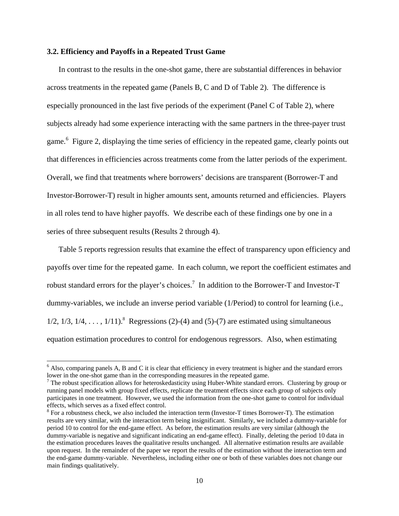#### **3.2. Efficiency and Payoffs in a Repeated Trust Game**

In contrast to the results in the one-shot game, there are substantial differences in behavior across treatments in the repeated game (Panels B, C and D of Table 2). The difference is especially pronounced in the last five periods of the experiment (Panel C of Table 2), where subjects already had some experience interacting with the same partners in the three-payer trust game.<sup>6</sup> Figure 2, displaying the time series of efficiency in the repeated game, clearly points out that differences in efficiencies across treatments come from the latter periods of the experiment. Overall, we find that treatments where borrowers' decisions are transparent (Borrower-T and Investor-Borrower-T) result in higher amounts sent, amounts returned and efficiencies. Players in all roles tend to have higher payoffs. We describe each of these findings one by one in a series of three subsequent results (Results 2 through 4).

Table 5 reports regression results that examine the effect of transparency upon efficiency and payoffs over time for the repeated game. In each column, we report the coefficient estimates and robust standard errors for the player's choices.<sup>7</sup> In addition to the Borrower-T and Investor-T dummy-variables, we include an inverse period variable (1/Period) to control for learning (i.e.,  $1/2$ ,  $1/3$ ,  $1/4$ , ...,  $1/11$ ).<sup>8</sup> Regressions (2)-(4) and (5)-(7) are estimated using simultaneous equation estimation procedures to control for endogenous regressors. Also, when estimating

 $6$  Also, comparing panels A, B and C it is clear that efficiency in every treatment is higher and the standard errors lower in the one-shot game than in the corresponding measures in the repeated game.

<sup>&</sup>lt;sup>7</sup> The robust specification allows for heteroskedasticity using Huber-White standard errors. Clustering by group or running panel models with group fixed effects, replicate the treatment effects since each group of subjects only participates in one treatment. However, we used the information from the one-shot game to control for individual effects, which serves as a fixed effect control.

 $8$  For a robustness check, we also included the interaction term (Investor-T times Borrower-T). The estimation results are very similar, with the interaction term being insignificant. Similarly, we included a dummy-variable for period 10 to control for the end-game effect. As before, the estimation results are very similar (although the dummy-variable is negative and significant indicating an end-game effect). Finally, deleting the period 10 data in the estimation procedures leaves the qualitative results unchanged. All alternative estimation results are available upon request. In the remainder of the paper we report the results of the estimation without the interaction term and the end-game dummy-variable. Nevertheless, including either one or both of these variables does not change our main findings qualitatively.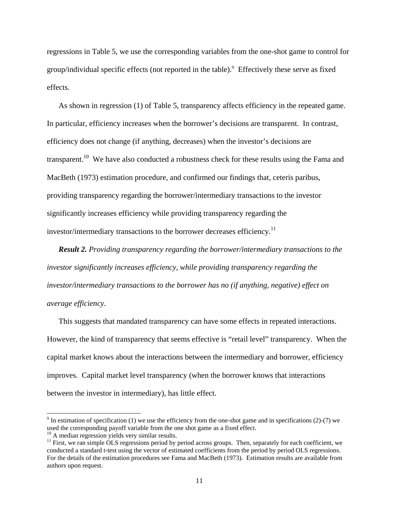regressions in Table 5, we use the corresponding variables from the one-shot game to control for group/individual specific effects (not reported in the table). $9$  Effectively these serve as fixed effects.

As shown in regression (1) of Table 5, transparency affects efficiency in the repeated game. In particular, efficiency increases when the borrower's decisions are transparent. In contrast, efficiency does not change (if anything, decreases) when the investor's decisions are transparent.<sup>10</sup> We have also conducted a robustness check for these results using the Fama and MacBeth (1973) estimation procedure, and confirmed our findings that, ceteris paribus, providing transparency regarding the borrower/intermediary transactions to the investor significantly increases efficiency while providing transparency regarding the investor/intermediary transactions to the borrower decreases efficiency.<sup>11</sup>

*Result 2. Providing transparency regarding the borrower/intermediary transactions to the investor significantly increases efficiency, while providing transparency regarding the investor/intermediary transactions to the borrower has no (if anything, negative) effect on average efficiency.*

This suggests that mandated transparency can have some effects in repeated interactions. However, the kind of transparency that seems effective is "retail level" transparency. When the capital market knows about the interactions between the intermediary and borrower, efficiency improves. Capital market level transparency (when the borrower knows that interactions between the investor in intermediary), has little effect.

<sup>&</sup>lt;sup>9</sup> In estimation of specification (1) we use the efficiency from the one-shot game and in specifications (2)-(7) we used the corresponding payoff variable from the one shot game as a fixed effect.

 $10$  A median regression yields very similar results.

 $11$  First, we ran simple OLS regressions period by period across groups. Then, separately for each coefficient, we conducted a standard t-test using the vector of estimated coefficients from the period by period OLS regressions. For the details of the estimation procedures see Fama and MacBeth (1973). Estimation results are available from authors upon request.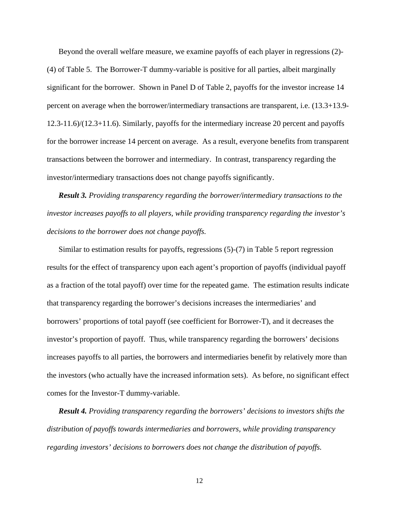Beyond the overall welfare measure, we examine payoffs of each player in regressions (2)- (4) of Table 5. The Borrower-T dummy-variable is positive for all parties, albeit marginally significant for the borrower. Shown in Panel D of Table 2, payoffs for the investor increase 14 percent on average when the borrower/intermediary transactions are transparent, i.e. (13.3+13.9- 12.3-11.6)/(12.3+11.6). Similarly, payoffs for the intermediary increase 20 percent and payoffs for the borrower increase 14 percent on average. As a result, everyone benefits from transparent transactions between the borrower and intermediary. In contrast, transparency regarding the investor/intermediary transactions does not change payoffs significantly.

*Result 3. Providing transparency regarding the borrower/intermediary transactions to the investor increases payoffs to all players, while providing transparency regarding the investor's decisions to the borrower does not change payoffs.* 

Similar to estimation results for payoffs, regressions (5)-(7) in Table 5 report regression results for the effect of transparency upon each agent's proportion of payoffs (individual payoff as a fraction of the total payoff) over time for the repeated game. The estimation results indicate that transparency regarding the borrower's decisions increases the intermediaries' and borrowers' proportions of total payoff (see coefficient for Borrower-T), and it decreases the investor's proportion of payoff. Thus, while transparency regarding the borrowers' decisions increases payoffs to all parties, the borrowers and intermediaries benefit by relatively more than the investors (who actually have the increased information sets). As before, no significant effect comes for the Investor-T dummy-variable.

*Result 4. Providing transparency regarding the borrowers' decisions to investors shifts the distribution of payoffs towards intermediaries and borrowers, while providing transparency regarding investors' decisions to borrowers does not change the distribution of payoffs.*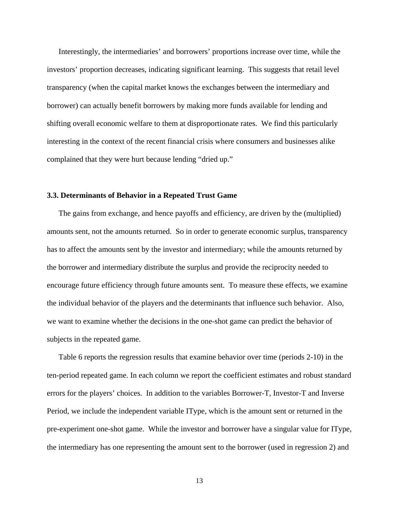Interestingly, the intermediaries' and borrowers' proportions increase over time, while the investors' proportion decreases, indicating significant learning. This suggests that retail level transparency (when the capital market knows the exchanges between the intermediary and borrower) can actually benefit borrowers by making more funds available for lending and shifting overall economic welfare to them at disproportionate rates. We find this particularly interesting in the context of the recent financial crisis where consumers and businesses alike complained that they were hurt because lending "dried up."

#### **3.3. Determinants of Behavior in a Repeated Trust Game**

The gains from exchange, and hence payoffs and efficiency, are driven by the (multiplied) amounts sent, not the amounts returned. So in order to generate economic surplus, transparency has to affect the amounts sent by the investor and intermediary; while the amounts returned by the borrower and intermediary distribute the surplus and provide the reciprocity needed to encourage future efficiency through future amounts sent. To measure these effects, we examine the individual behavior of the players and the determinants that influence such behavior. Also, we want to examine whether the decisions in the one-shot game can predict the behavior of subjects in the repeated game.

Table 6 reports the regression results that examine behavior over time (periods 2-10) in the ten-period repeated game. In each column we report the coefficient estimates and robust standard errors for the players' choices. In addition to the variables Borrower-T, Investor-T and Inverse Period, we include the independent variable IType, which is the amount sent or returned in the pre-experiment one-shot game. While the investor and borrower have a singular value for IType, the intermediary has one representing the amount sent to the borrower (used in regression 2) and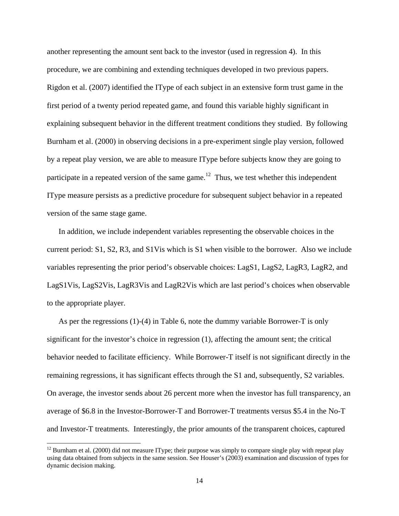another representing the amount sent back to the investor (used in regression 4). In this procedure, we are combining and extending techniques developed in two previous papers. Rigdon et al. (2007) identified the IType of each subject in an extensive form trust game in the first period of a twenty period repeated game, and found this variable highly significant in explaining subsequent behavior in the different treatment conditions they studied. By following Burnham et al. (2000) in observing decisions in a pre-experiment single play version, followed by a repeat play version, we are able to measure IType before subjects know they are going to participate in a repeated version of the same game.<sup>12</sup> Thus, we test whether this independent IType measure persists as a predictive procedure for subsequent subject behavior in a repeated version of the same stage game.

In addition, we include independent variables representing the observable choices in the current period: S1, S2, R3, and S1Vis which is S1 when visible to the borrower. Also we include variables representing the prior period's observable choices: LagS1, LagS2, LagR3, LagR2, and LagS1Vis, LagS2Vis, LagR3Vis and LagR2Vis which are last period's choices when observable to the appropriate player.

As per the regressions (1)-(4) in Table 6, note the dummy variable Borrower-T is only significant for the investor's choice in regression (1), affecting the amount sent; the critical behavior needed to facilitate efficiency. While Borrower-T itself is not significant directly in the remaining regressions, it has significant effects through the S1 and, subsequently, S2 variables. On average, the investor sends about 26 percent more when the investor has full transparency, an average of \$6.8 in the Investor-Borrower-T and Borrower-T treatments versus \$5.4 in the No-T and Investor-T treatments. Interestingly, the prior amounts of the transparent choices, captured

 $12$  Burnham et al. (2000) did not measure IType; their purpose was simply to compare single play with repeat play using data obtained from subjects in the same session. See Houser's (2003) examination and discussion of types for dynamic decision making.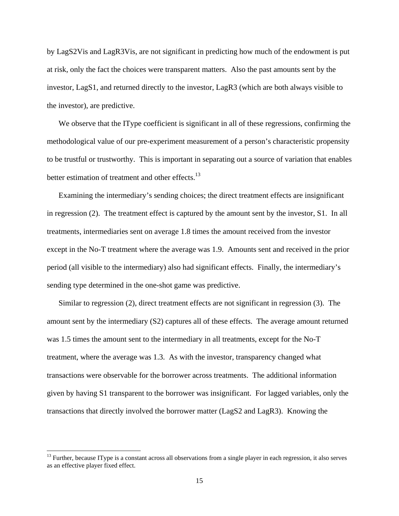by LagS2Vis and LagR3Vis, are not significant in predicting how much of the endowment is put at risk, only the fact the choices were transparent matters. Also the past amounts sent by the investor, LagS1, and returned directly to the investor, LagR3 (which are both always visible to the investor), are predictive.

We observe that the IType coefficient is significant in all of these regressions, confirming the methodological value of our pre-experiment measurement of a person's characteristic propensity to be trustful or trustworthy. This is important in separating out a source of variation that enables better estimation of treatment and other effects.<sup>13</sup>

Examining the intermediary's sending choices; the direct treatment effects are insignificant in regression (2). The treatment effect is captured by the amount sent by the investor, S1. In all treatments, intermediaries sent on average 1.8 times the amount received from the investor except in the No-T treatment where the average was 1.9. Amounts sent and received in the prior period (all visible to the intermediary) also had significant effects. Finally, the intermediary's sending type determined in the one-shot game was predictive.

Similar to regression (2), direct treatment effects are not significant in regression (3). The amount sent by the intermediary (S2) captures all of these effects. The average amount returned was 1.5 times the amount sent to the intermediary in all treatments, except for the No-T treatment, where the average was 1.3. As with the investor, transparency changed what transactions were observable for the borrower across treatments. The additional information given by having S1 transparent to the borrower was insignificant. For lagged variables, only the transactions that directly involved the borrower matter (LagS2 and LagR3). Knowing the

<sup>&</sup>lt;sup>13</sup> Further, because IType is a constant across all observations from a single player in each regression, it also serves as an effective player fixed effect.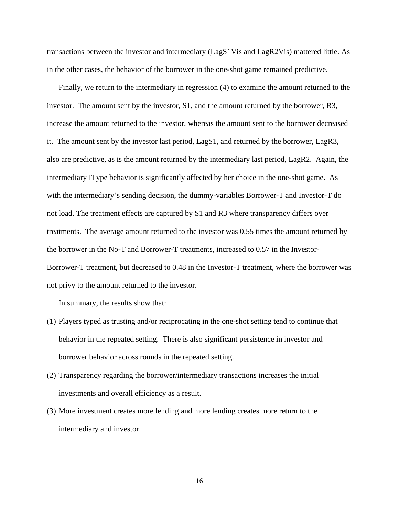transactions between the investor and intermediary (LagS1Vis and LagR2Vis) mattered little. As in the other cases, the behavior of the borrower in the one-shot game remained predictive.

Finally, we return to the intermediary in regression (4) to examine the amount returned to the investor. The amount sent by the investor, S1, and the amount returned by the borrower, R3, increase the amount returned to the investor, whereas the amount sent to the borrower decreased it. The amount sent by the investor last period, LagS1, and returned by the borrower, LagR3, also are predictive, as is the amount returned by the intermediary last period, LagR2. Again, the intermediary IType behavior is significantly affected by her choice in the one-shot game. As with the intermediary's sending decision, the dummy-variables Borrower-T and Investor-T do not load. The treatment effects are captured by S1 and R3 where transparency differs over treatments. The average amount returned to the investor was 0.55 times the amount returned by the borrower in the No-T and Borrower-T treatments, increased to 0.57 in the Investor-Borrower-T treatment, but decreased to 0.48 in the Investor-T treatment, where the borrower was not privy to the amount returned to the investor.

In summary, the results show that:

- (1) Players typed as trusting and/or reciprocating in the one-shot setting tend to continue that behavior in the repeated setting. There is also significant persistence in investor and borrower behavior across rounds in the repeated setting.
- (2) Transparency regarding the borrower/intermediary transactions increases the initial investments and overall efficiency as a result.
- (3) More investment creates more lending and more lending creates more return to the intermediary and investor.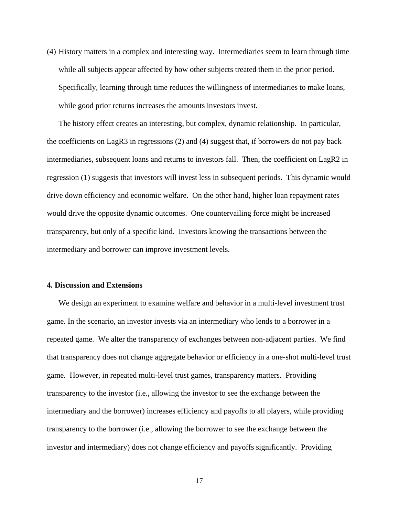(4) History matters in a complex and interesting way. Intermediaries seem to learn through time while all subjects appear affected by how other subjects treated them in the prior period. Specifically, learning through time reduces the willingness of intermediaries to make loans, while good prior returns increases the amounts investors invest.

The history effect creates an interesting, but complex, dynamic relationship. In particular, the coefficients on LagR3 in regressions (2) and (4) suggest that, if borrowers do not pay back intermediaries, subsequent loans and returns to investors fall. Then, the coefficient on LagR2 in regression (1) suggests that investors will invest less in subsequent periods. This dynamic would drive down efficiency and economic welfare. On the other hand, higher loan repayment rates would drive the opposite dynamic outcomes. One countervailing force might be increased transparency, but only of a specific kind. Investors knowing the transactions between the intermediary and borrower can improve investment levels.

#### **4. Discussion and Extensions**

We design an experiment to examine welfare and behavior in a multi-level investment trust game. In the scenario, an investor invests via an intermediary who lends to a borrower in a repeated game. We alter the transparency of exchanges between non-adjacent parties. We find that transparency does not change aggregate behavior or efficiency in a one-shot multi-level trust game. However, in repeated multi-level trust games, transparency matters. Providing transparency to the investor (i.e., allowing the investor to see the exchange between the intermediary and the borrower) increases efficiency and payoffs to all players, while providing transparency to the borrower (i.e., allowing the borrower to see the exchange between the investor and intermediary) does not change efficiency and payoffs significantly. Providing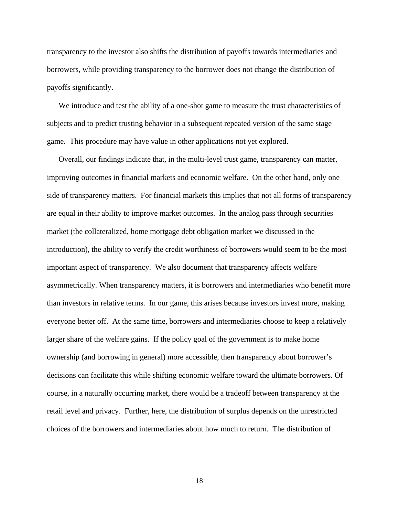transparency to the investor also shifts the distribution of payoffs towards intermediaries and borrowers, while providing transparency to the borrower does not change the distribution of payoffs significantly.

We introduce and test the ability of a one-shot game to measure the trust characteristics of subjects and to predict trusting behavior in a subsequent repeated version of the same stage game. This procedure may have value in other applications not yet explored.

Overall, our findings indicate that, in the multi-level trust game, transparency can matter, improving outcomes in financial markets and economic welfare. On the other hand, only one side of transparency matters. For financial markets this implies that not all forms of transparency are equal in their ability to improve market outcomes. In the analog pass through securities market (the collateralized, home mortgage debt obligation market we discussed in the introduction), the ability to verify the credit worthiness of borrowers would seem to be the most important aspect of transparency. We also document that transparency affects welfare asymmetrically. When transparency matters, it is borrowers and intermediaries who benefit more than investors in relative terms. In our game, this arises because investors invest more, making everyone better off. At the same time, borrowers and intermediaries choose to keep a relatively larger share of the welfare gains. If the policy goal of the government is to make home ownership (and borrowing in general) more accessible, then transparency about borrower's decisions can facilitate this while shifting economic welfare toward the ultimate borrowers. Of course, in a naturally occurring market, there would be a tradeoff between transparency at the retail level and privacy. Further, here, the distribution of surplus depends on the unrestricted choices of the borrowers and intermediaries about how much to return. The distribution of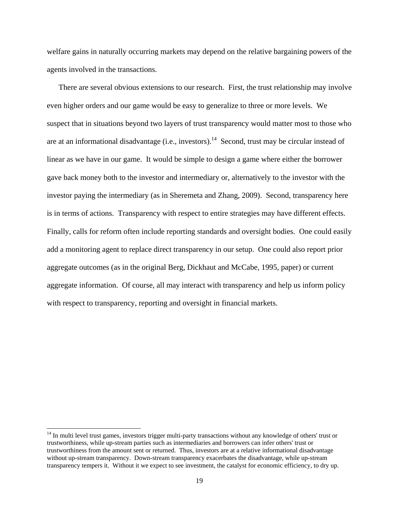welfare gains in naturally occurring markets may depend on the relative bargaining powers of the agents involved in the transactions.

There are several obvious extensions to our research. First, the trust relationship may involve even higher orders and our game would be easy to generalize to three or more levels. We suspect that in situations beyond two layers of trust transparency would matter most to those who are at an informational disadvantage (i.e., investors).<sup>14</sup> Second, trust may be circular instead of linear as we have in our game. It would be simple to design a game where either the borrower gave back money both to the investor and intermediary or, alternatively to the investor with the investor paying the intermediary (as in Sheremeta and Zhang, 2009). Second, transparency here is in terms of actions. Transparency with respect to entire strategies may have different effects. Finally, calls for reform often include reporting standards and oversight bodies. One could easily add a monitoring agent to replace direct transparency in our setup. One could also report prior aggregate outcomes (as in the original Berg, Dickhaut and McCabe, 1995, paper) or current aggregate information. Of course, all may interact with transparency and help us inform policy with respect to transparency, reporting and oversight in financial markets.

<sup>&</sup>lt;sup>14</sup> In multi level trust games, investors trigger multi-party transactions without any knowledge of others' trust or trustworthiness, while up-stream parties such as intermediaries and borrowers can infer others' trust or trustworthiness from the amount sent or returned. Thus, investors are at a relative informational disadvantage without up-stream transparency. Down-stream transparency exacerbates the disadvantage, while up-stream transparency tempers it. Without it we expect to see investment, the catalyst for economic efficiency, to dry up.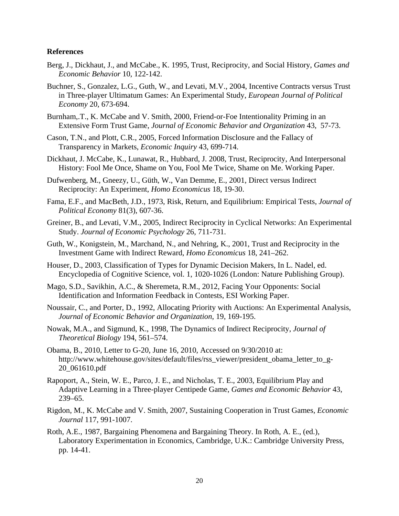#### **References**

- Berg, J., Dickhaut, J., and McCabe., K. 1995, Trust, Reciprocity, and Social History, *Games and Economic Behavior* 10, 122-142.
- Buchner, S., Gonzalez, L.G., Guth, W., and Levati, M.V., 2004, Incentive Contracts versus Trust in Three-player Ultimatum Games: An Experimental Study, *European Journal of Political Economy* 20, 673-694.
- Burnham,.T., K. McCabe and V. Smith, 2000, Friend-or-Foe Intentionality Priming in an Extensive Form Trust Game, *Journal of Economic Behavior and Organization* 43, 57-73.
- Cason, T.N., and Plott, C.R., 2005, Forced Information Disclosure and the Fallacy of Transparency in Markets, *Economic Inquiry* 43, 699-714.
- Dickhaut, J. McCabe, K., Lunawat, R., Hubbard, J. 2008, Trust, Reciprocity, And Interpersonal History: Fool Me Once, Shame on You, Fool Me Twice, Shame on Me. Working Paper.
- Dufwenberg, M., Gneezy, U., Güth, W., Van Demme, E., 2001, Direct versus Indirect Reciprocity: An Experiment, *Homo Economicus* 18, 19-30.
- Fama, E.F., and MacBeth, J.D., 1973, Risk, Return, and Equilibrium: Empirical Tests, *Journal of Political Economy* 81(3), 607-36.
- Greiner, B., and Levati, V.M., 2005, Indirect Reciprocity in Cyclical Networks: An Experimental Study. *Journal of Economic Psychology* 26, 711-731.
- Guth, W., Konigstein, M., Marchand, N., and Nehring, K., 2001, Trust and Reciprocity in the Investment Game with Indirect Reward, *Homo Economicus* 18, 241–262.
- Houser, D., 2003, Classification of Types for Dynamic Decision Makers, In L. Nadel, ed. Encyclopedia of Cognitive Science, vol. 1, 1020-1026 (London: Nature Publishing Group).
- Mago, S.D., Savikhin, A.C., & Sheremeta, R.M., 2012, Facing Your Opponents: Social Identification and Information Feedback in Contests, ESI Working Paper.
- Noussair, C., and Porter, D., 1992, Allocating Priority with Auctions: An Experimental Analysis, *Journal of Economic Behavior and Organization*, 19, 169-195.
- Nowak, M.A., and Sigmund, K., 1998, The Dynamics of Indirect Reciprocity, *Journal of Theoretical Biology* 194, 561–574.
- Obama, B., 2010, Letter to G-20, June 16, 2010, Accessed on 9/30/2010 at: http://www.whitehouse.gov/sites/default/files/rss\_viewer/president\_obama\_letter\_to\_g-20\_061610.pdf
- Rapoport, A., Stein, W. E., Parco, J. E., and Nicholas, T. E., 2003, Equilibrium Play and Adaptive Learning in a Three-player Centipede Game, *Games and Economic Behavior* 43, 239–65.
- Rigdon, M., K. McCabe and V. Smith, 2007, Sustaining Cooperation in Trust Games, *Economic Journal* 117, 991-1007.
- Roth, A.E., 1987, Bargaining Phenomena and Bargaining Theory. In Roth, A. E., (ed.), Laboratory Experimentation in Economics, Cambridge, U.K.: Cambridge University Press, pp. 14-41.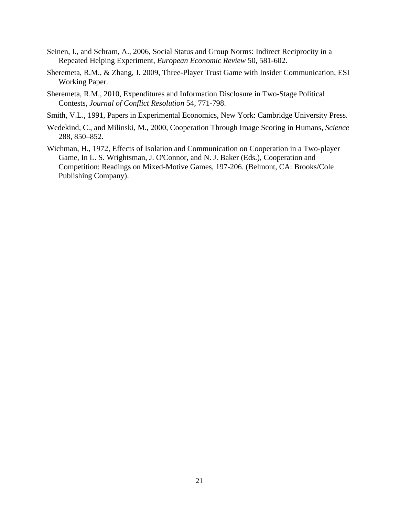- Seinen, I., and Schram, A., 2006, Social Status and Group Norms: Indirect Reciprocity in a Repeated Helping Experiment, *European Economic Review* 50, 581-602.
- Sheremeta, R.M., & Zhang, J. 2009, Three-Player Trust Game with Insider Communication, ESI Working Paper.
- Sheremeta, R.M., 2010, Expenditures and Information Disclosure in Two-Stage Political Contests, *Journal of Conflict Resolution* 54, 771-798.
- Smith, V.L., 1991, Papers in Experimental Economics, New York: Cambridge University Press.
- Wedekind, C., and Milinski, M., 2000, Cooperation Through Image Scoring in Humans, *Science* 288, 850–852.
- Wichman, H., 1972, Effects of Isolation and Communication on Cooperation in a Two-player Game, In L. S. Wrightsman, J. O'Connor, and N. J. Baker (Eds.), Cooperation and Competition: Readings on Mixed-Motive Games, 197-206. (Belmont, CA: Brooks/Cole Publishing Company).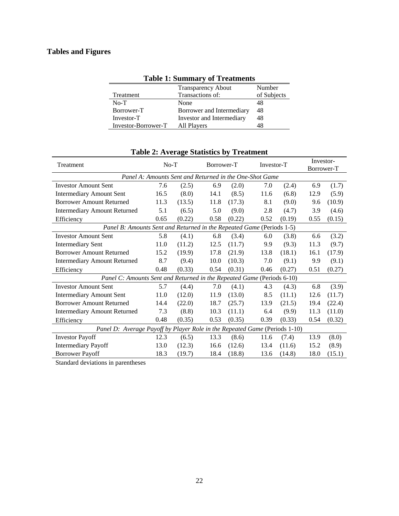# **Tables and Figures**

| <b>Table 1: Summary of Treatments</b> |                           |             |  |  |  |  |  |
|---------------------------------------|---------------------------|-------------|--|--|--|--|--|
| Number<br><b>Transparency About</b>   |                           |             |  |  |  |  |  |
| Treatment                             | Transactions of:          | of Subjects |  |  |  |  |  |
| $No-T$                                | None                      | 48          |  |  |  |  |  |
| Borrower-T                            | Borrower and Intermediary | 48          |  |  |  |  |  |
| Investor-T                            | Investor and Intermediary | 48          |  |  |  |  |  |
| Investor-Borrower-T                   | All Players               | 48          |  |  |  |  |  |

| Treatment                                                                  | $No-T$ | rabic $\mathbf{r}$ , inverage biamones by | Borrower-T |        | Investor-T |        | Investor-<br>Borrower-T |        |  |
|----------------------------------------------------------------------------|--------|-------------------------------------------|------------|--------|------------|--------|-------------------------|--------|--|
| Panel A: Amounts Sent and Returned in the One-Shot Game                    |        |                                           |            |        |            |        |                         |        |  |
| <b>Investor Amount Sent</b>                                                | 7.6    | (2.5)                                     | 6.9        | (2.0)  | 7.0        | (2.4)  | 6.9                     | (1.7)  |  |
| <b>Intermediary Amount Sent</b>                                            | 16.5   | (8.0)                                     | 14.1       | (8.5)  | 11.6       | (6.8)  | 12.9                    | (5.9)  |  |
| <b>Borrower Amount Returned</b>                                            | 11.3   | (13.5)                                    | 11.8       | (17.3) | 8.1        | (9.0)  | 9.6                     | (10.9) |  |
| <b>Intermediary Amount Returned</b>                                        | 5.1    | (6.5)                                     | 5.0        | (9.0)  | 2.8        | (4.7)  | 3.9                     | (4.6)  |  |
| Efficiency                                                                 | 0.65   | (0.22)                                    | 0.58       | (0.22) | 0.52       | (0.19) | 0.55                    | (0.15) |  |
| Panel B: Amounts Sent and Returned in the Repeated Game (Periods 1-5)      |        |                                           |            |        |            |        |                         |        |  |
| <b>Investor Amount Sent</b>                                                | 5.8    | (4.1)                                     | 6.8        | (3.4)  | 6.0        | (3.8)  | 6.6                     | (3.2)  |  |
| <b>Intermediary Sent</b>                                                   | 11.0   | (11.2)                                    | 12.5       | (11.7) | 9.9        | (9.3)  | 11.3                    | (9.7)  |  |
| <b>Borrower Amount Returned</b>                                            | 15.2   | (19.9)                                    | 17.8       | (21.9) | 13.8       | (18.1) | 16.1                    | (17.9) |  |
| <b>Intermediary Amount Returned</b>                                        | 8.7    | (9.4)                                     | 10.0       | (10.3) | 7.0        | (9.1)  | 9.9                     | (9.1)  |  |
| Efficiency                                                                 | 0.48   | (0.33)                                    | 0.54       | (0.31) | 0.46       | (0.27) | 0.51                    | (0.27) |  |
| Panel C: Amounts Sent and Returned in the Repeated Game (Periods 6-10)     |        |                                           |            |        |            |        |                         |        |  |
| <b>Investor Amount Sent</b>                                                | 5.7    | (4.4)                                     | 7.0        | (4.1)  | 4.3        | (4.3)  | 6.8                     | (3.9)  |  |
| <b>Intermediary Amount Sent</b>                                            | 11.0   | (12.0)                                    | 11.9       | (13.0) | 8.5        | (11.1) | 12.6                    | (11.7) |  |
| <b>Borrower Amount Returned</b>                                            | 14.4   | (22.0)                                    | 18.7       | (25.7) | 13.9       | (21.5) | 19.4                    | (22.4) |  |
| <b>Intermediary Amount Returned</b>                                        | 7.3    | (8.8)                                     | 10.3       | (11.1) | 6.4        | (9.9)  | 11.3                    | (11.0) |  |
| Efficiency                                                                 | 0.48   | (0.35)                                    | 0.53       | (0.35) | 0.39       | (0.33) | 0.54                    | (0.32) |  |
| Panel D: Average Payoff by Player Role in the Repeated Game (Periods 1-10) |        |                                           |            |        |            |        |                         |        |  |
| <b>Investor Payoff</b>                                                     | 12.3   | (6.5)                                     | 13.3       | (8.6)  | 11.6       | (7.4)  | 13.9                    | (8.0)  |  |
| <b>Intermediary Payoff</b>                                                 | 13.0   | (12.3)                                    | 16.6       | (12.6) | 13.4       | (11.6) | 15.2                    | (8.9)  |  |
| <b>Borrower Payoff</b>                                                     | 18.3   | (19.7)                                    | 18.4       | (18.8) | 13.6       | (14.8) | 18.0                    | (15.1) |  |

### **Table 2: Average Statistics by Treatment**

Standard deviations in parentheses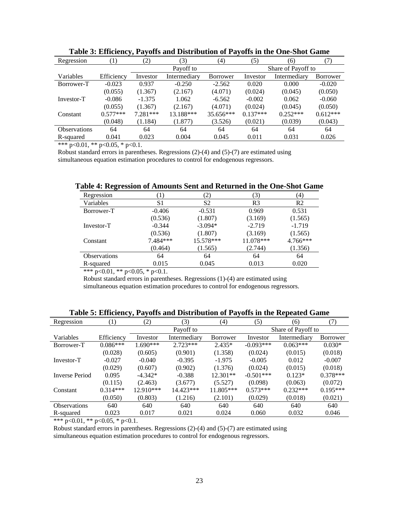| Regression          | $\left(1\right)$ | (2)        | 3)           | (4)             | (5)        | (6)                | 7          |  |  |
|---------------------|------------------|------------|--------------|-----------------|------------|--------------------|------------|--|--|
|                     |                  |            | Payoff to    |                 |            | Share of Payoff to |            |  |  |
| Variables           | Efficiency       | Investor   | Intermediary | <b>Borrower</b> | Investor   | Intermediary       | Borrower   |  |  |
| Borrower-T          | $-0.023$         | 0.937      | $-0.250$     | $-2.562$        | 0.020      | 0.000              | $-0.020$   |  |  |
|                     | (0.055)          | (1.367)    | (2.167)      | (4.071)         | (0.024)    | (0.045)            | (0.050)    |  |  |
| Investor-T          | $-0.086$         | $-1.375$   | 1.062        | $-6.562$        | $-0.002$   | 0.062              | $-0.060$   |  |  |
|                     | (0.055)          | (1.367)    | (2.167)      | (4.071)         | (0.024)    | (0.045)            | (0.050)    |  |  |
| Constant            | $0.577***$       | $7.281***$ | 13.188***    | 35.656***       | $0.137***$ | $0.252***$         | $0.612***$ |  |  |
|                     | (0.048)          | (1.184)    | (1.877)      | (3.526)         | (0.021)    | (0.039)            | (0.043)    |  |  |
| <b>Observations</b> | 64               | 64         | 64           | 64              | 64         | 64                 | 64         |  |  |
| R-squared           | 0.041            | 0.023      | 0.004        | 0.045           | 0.011      | 0.031              | 0.026      |  |  |

**Table 3: Efficiency, Payoffs and Distribution of Payoffs in the One-Shot Game** 

\*\*\* p<0.01, \*\* p<0.05, \* p<0.1.

Robust standard errors in parentheses. Regressions (2)-(4) and (5)-(7) are estimated using simultaneous equation estimation procedures to control for endogenous regressors.

**Table 4: Regression of Amounts Sent and Returned in the One-Shot Game** 

| Regression   |          | 2)        | (3)            | (4)            |
|--------------|----------|-----------|----------------|----------------|
| Variables    | S1       | S2        | R <sub>3</sub> | R <sub>2</sub> |
| Borrower-T   | $-0.406$ | $-0.531$  | 0.969          | 0.531          |
|              | (0.536)  | (1.807)   | (3.169)        | (1.565)        |
| Investor-T   | $-0.344$ | $-3.094*$ | $-2.719$       | $-1.719$       |
|              | (0.536)  | (1.807)   | (3.169)        | (1.565)        |
| Constant     | 7.484*** | 15.578*** | 11.078***      | 4.766***       |
|              | (0.464)  | (1.565)   | (2.744)        | (1.356)        |
| Observations | 64       | 64        | 64             | 64             |
| R-squared    | 0.015    | 0.045     | 0.013          | 0.020          |

\*\*\* p<0.01, \*\* p<0.05, \* p<0.1.

Robust standard errors in parentheses. Regressions (1)-(4) are estimated using

simultaneous equation estimation procedures to control for endogenous regressors.

|  | Table 5: Efficiency, Payoffs and Distribution of Payoffs in the Repeated Game |  |  |  |  |  |  |
|--|-------------------------------------------------------------------------------|--|--|--|--|--|--|
|  |                                                                               |  |  |  |  |  |  |

| - JJ<br>$\sim$ , $\sim$ $\sim$ $\sim$ |                  |            |              |                 |             |                    |                 |
|---------------------------------------|------------------|------------|--------------|-----------------|-------------|--------------------|-----------------|
| Regression                            | $\left(1\right)$ | (2)        | (3)          | (4)             | (5)         | (6)                | (7)             |
|                                       |                  |            | Payoff to    |                 |             | Share of Payoff to |                 |
| Variables                             | Efficiency       | Investor   | Intermediary | <b>Borrower</b> | Investor    | Intermediary       | <b>Borrower</b> |
| Borrower-T                            | $0.086***$       | $1.690***$ | $2.723***$   | $2.435*$        | $-0.093***$ | $0.063***$         | $0.030*$        |
|                                       | (0.028)          | (0.605)    | (0.901)      | (1.358)         | (0.024)     | (0.015)            | (0.018)         |
| Investor-T                            | $-0.027$         | $-0.040$   | $-0.395$     | $-1.975$        | $-0.005$    | 0.012              | $-0.007$        |
|                                       | (0.029)          | (0.607)    | (0.902)      | (1.376)         | (0.024)     | (0.015)            | (0.018)         |
| <b>Inverse Period</b>                 | 0.095            | $-4.342*$  | $-0.388$     | $12.301**$      | $-0.501***$ | $0.123*$           | $0.378***$      |
|                                       | (0.115)          | (2.463)    | (3.677)      | (5.527)         | (0.098)     | (0.063)            | (0.072)         |
| Constant                              | $0.314***$       | 12.910***  | 14.423***    | 11.805***       | $0.573***$  | $0.232***$         | $0.195***$      |
|                                       | (0.050)          | (0.803)    | (1.216)      | (2.101)         | (0.029)     | (0.018)            | (0.021)         |
| Observations                          | 640              | 640        | 640          | 640             | 640         | 640                | 640             |
| R-squared                             | 0.023            | 0.017      | 0.021        | 0.024           | 0.060       | 0.032              | 0.046           |

\*\*\* p<0.01, \*\* p<0.05, \* p<0.1.

Robust standard errors in parentheses. Regressions (2)-(4) and (5)-(7) are estimated using simultaneous equation estimation procedures to control for endogenous regressors.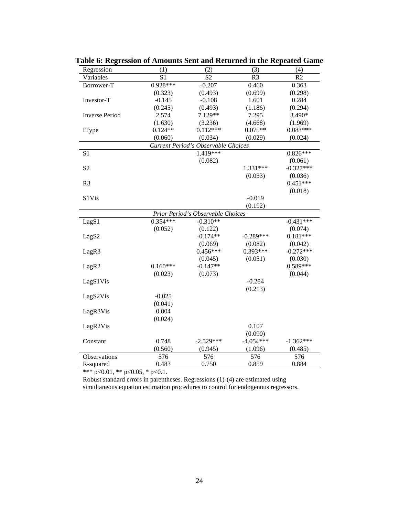| Regression                     | (1)            | (2)                                 | (3)            | (4)         |
|--------------------------------|----------------|-------------------------------------|----------------|-------------|
| Variables                      | S <sub>1</sub> | S <sub>2</sub>                      | R <sub>3</sub> | R2          |
| Borrower-T                     | 0.928***       | $-0.207$                            | 0.460          | 0.363       |
|                                | (0.323)        | (0.493)                             | (0.699)        | (0.298)     |
| Investor-T                     | $-0.145$       | $-0.108$                            | 1.601          | 0.284       |
|                                | (0.245)        | (0.493)                             | (1.186)        | (0.294)     |
| <b>Inverse Period</b>          | 2.574          | 7.129**                             | 7.295          | 3.490*      |
|                                | (1.630)        | (3.236)                             | (4.668)        | (1.969)     |
| IType                          | $0.124**$      | $0.112***$                          | $0.075**$      | $0.083***$  |
|                                | (0.060)        | (0.034)                             | (0.029)        | (0.024)     |
|                                |                | Current Period's Observable Choices |                |             |
| S <sub>1</sub>                 |                | $1.419***$                          |                | $0.826***$  |
|                                |                | (0.082)                             |                | (0.061)     |
| S <sub>2</sub>                 |                |                                     | $1.331***$     | $-0.327***$ |
|                                |                |                                     | (0.053)        | (0.036)     |
| R <sub>3</sub>                 |                |                                     |                | $0.451***$  |
|                                |                |                                     |                | (0.018)     |
| S <sub>1</sub> V <sub>is</sub> |                |                                     | $-0.019$       |             |
|                                |                |                                     | (0.192)        |             |
|                                |                | Prior Period's Observable Choices   |                |             |
| LagS1                          | $0.354***$     | $-0.310**$                          |                | $-0.431***$ |
|                                | (0.052)        | (0.122)                             |                | (0.074)     |
| Lag <sub>S2</sub>              |                | $-0.174**$                          | $-0.289***$    | $0.181***$  |
|                                |                | (0.069)                             | (0.082)        | (0.042)     |
| LagR3                          |                | $0.456***$                          | $0.393***$     | $-0.272***$ |
|                                |                | (0.045)                             | (0.051)        | (0.030)     |
| LagR <sub>2</sub>              | $0.160***$     | $-0.147**$                          |                | $0.589***$  |
|                                | (0.023)        | (0.073)                             |                | (0.044)     |
| LagS1Vis                       |                |                                     | $-0.284$       |             |
|                                |                |                                     | (0.213)        |             |
| LagS2Vis                       | $-0.025$       |                                     |                |             |
|                                | (0.041)        |                                     |                |             |
| LagR3Vis                       | 0.004          |                                     |                |             |
|                                | (0.024)        |                                     |                |             |
| LagR2Vis                       |                |                                     | 0.107          |             |
|                                |                |                                     | (0.090)        |             |
| Constant                       | 0.748          | $-2.529***$                         | $-4.054***$    | $-1.362***$ |
|                                | (0.560)        | (0.945)                             | (1.096)        | (0.485)     |
| Observations                   | 576            | 576                                 | 576            | 576         |
| R-squared                      | 0.483          | 0.750                               | 0.859          | 0.884       |

**Table 6: Regression of Amounts Sent and Returned in the Repeated Game** 

\*\*\* p<0.01, \*\* p<0.05, \* p<0.1.

Robust standard errors in parentheses. Regressions (1)-(4) are estimated using simultaneous equation estimation procedures to control for endogenous regressors.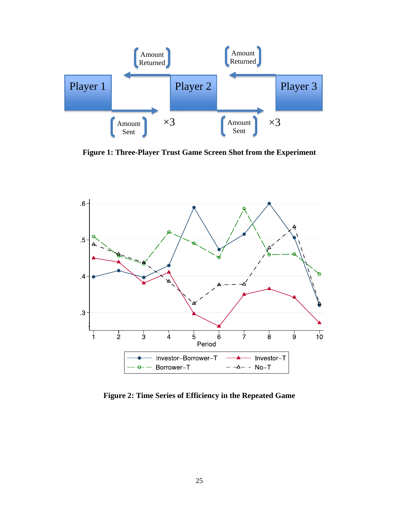

**Figure 1: Three-Player Trust Game Screen Shot from the Experiment** 



**Figure 2: Time Series of Efficiency in the Repeated Game**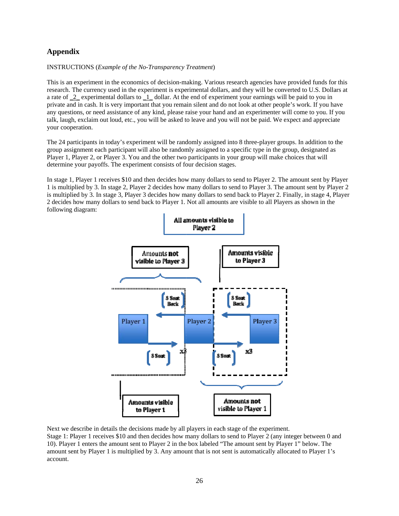#### **Appendi ix**

#### INSTRUC CTIONS (*Exam mple of the No-T Transparency Treatment*)

This is an experiment in the economics of decision-making. Various research agencies have provided funds for this research. The currency used in the experiment is experimental dollars, and they will be converted to U.S. Dollars at a rate of  $\geq$  experimental dollars to  $\perp$  dollar. At the end of experiment your earnings will be paid to you in private and in cash. It is very important that you remain silent and do not look at other people's work. If you have any questions, or need assistance of any kind, please raise your hand and an experimenter will come to you. If you talk, laugh, exclaim out loud, etc., you will be asked to leave and you will not be paid. We expect and appreciate your cooperation.

The 24 participants in today's experiment will be randomly assigned into 8 three-player groups. In addition to the group assignment each participant will also be randomly assigned to a specific type in the group, designated as Player 1, Player 2, or Player 3. You and the other two participants in your group will make choices that will determine your payoffs. The experiment consists of four decision stages. group assignment each participant will also be randomly assigned to a specific type in the group, designated as<br>Player 1, Player 2, or Player 3. You and the other two participants in your group will make choices that will<br>

1 is multiplied by 3. In stage 2, Player 2 decides how many dollars to send to Player 3. The amount sent by Player 2 is multiplied by 3. In stage 3, Player 3 decides how many dollars to send back to Player 2. Finally, in stage 4, Player 2 decides how many dollars to send back to Player 1. Not all amounts are visible to all Players as shown in the following diagram:



Next we describe in details the decisions made by all players in each stage of the experiment. Stage 1: Player 1 receives \$10 and then decides how many dollars to send to Player 2 (any integer between 0 and 10). Player 1 enters the amount sent to Player 2 in the box labeled "The amount sent by Player 1" below. The amount sent by Player 1 is multiplied by 3. Any amount that is not sent is automatically allocated to Player 1's account.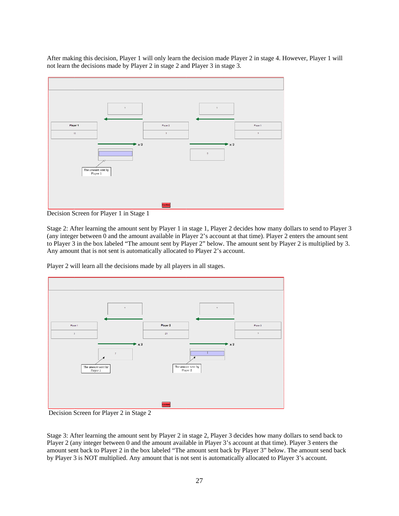After making this decision, Player 1 will only learn the decision made Player 2 in stage 4. However, Player 1 will not learn the decisions made by Player 2 in stage 2 and Player 3 in stage 3.



Decision Screen for Player 1 in Stage 1

Stage 2: After learning the amount sent by Player 1 in stage 1, Player 2 decides how many dollars to send to Player 3 (any integer between 0 and the amount available in Player 2's account at that time). Player 2 enters the amount sent to Player 3 in the box labeled "The amount sent by Player 2" below. The amount sent by Player 2 is multiplied by 3. Any amount that is not sent is automatically allocated to Player 2's account.

Player 2 will learn all the decisions made by all players in all stages.



Decision Screen for Player 2 in Stage 2

Stage 3: After learning the amount sent by Player 2 in stage 2, Player 3 decides how many dollars to send back to Player 2 (any integer between 0 and the amount available in Player 3's account at that time). Player 3 enters the Player 2 (any integer between 0 and the amount available in Player 3's account at that time). Player 3 enters the<br>amount sent back to Player 2 in the box labeled "The amount sent back by Player 3" below. The amount send ba by Player 3 is NOT multiplied. Any amount that is not sent is automatically allocated to Player 3's account.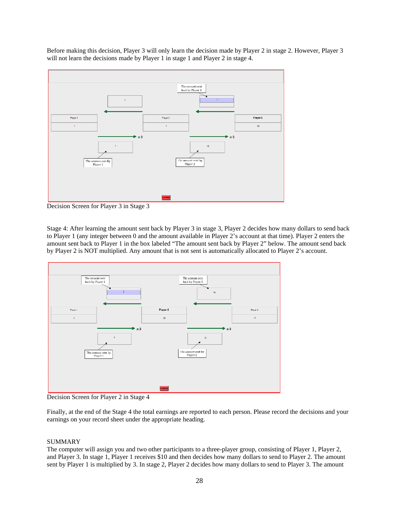Before making this decision, Player 3 will only learn the decision made by Player 2 in stage 2. However, Player 3 will not learn the decisions made by Player 1 in stage 1 and Player 2 in stage 4.



Decision Screen for Player 3 in Stage 3

Stage 4: After learning the amount sent back by Player 3 in stage 3, Player 2 decides how many dollars to send back to Player 1 (any integer between 0 and the amount available in Player 2's account at that time). Player 2 enters the amount sent back to Player 1 in the box labeled "The amount sent back by Player 2" below. The amount send back by Player 2 is NOT multiplied. Any amount that is not sent is automatically allocated to Player 2's account.



Decision Screen for Player 2 in Stage 4

Finally, at the end of the Stage 4 the total earnings are reported to each person. Please record the decisions and your earnings on your record sheet under the appropriate heading.

#### SUMMAR RY

The computer will assign you and two other participants to a three-player group, consisting of Player 1, Player 2, and Player 3. In stage 1, Player 1 receives \$10 and then decides how many dollars to send to Player 2. The amount sent by Player 1 is multiplied by 3. In stage 2, Player 2 decides how many dollars to send to Player 3. The amount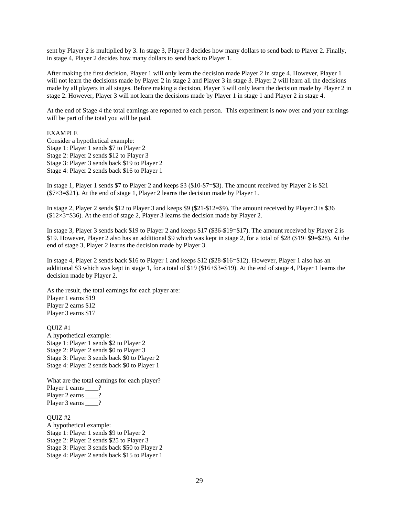sent by Player 2 is multiplied by 3. In stage 3, Player 3 decides how many dollars to send back to Player 2. Finally, in stage 4, Player 2 decides how many dollars to send back to Player 1.

After making the first decision, Player 1 will only learn the decision made Player 2 in stage 4. However, Player 1 will not learn the decisions made by Player 2 in stage 2 and Player 3 in stage 3. Player 2 will learn all the decisions made by all players in all stages. Before making a decision, Player 3 will only learn the decision made by Player 2 in stage 2. However, Player 3 will not learn the decisions made by Player 1 in stage 1 and Player 2 in stage 4.

At the end of Stage 4 the total earnings are reported to each person. This experiment is now over and your earnings will be part of the total you will be paid.

#### EXAMPLE

Consider a hypothetical example: Stage 1: Player 1 sends \$7 to Player 2 Stage 2: Player 2 sends \$12 to Player 3 Stage 3: Player 3 sends back \$19 to Player 2 Stage 4: Player 2 sends back \$16 to Player 1

In stage 1, Player 1 sends \$7 to Player 2 and keeps \$3 (\$10-\$7=\$3). The amount received by Player 2 is \$21  $($7 \times 3 = $21)$ . At the end of stage 1, Player 2 learns the decision made by Player 1.

In stage 2, Player 2 sends \$12 to Player 3 and keeps \$9 (\$21-\$12=\$9). The amount received by Player 3 is \$36 (\$12×3=\$36). At the end of stage 2, Player 3 learns the decision made by Player 2.

In stage 3, Player 3 sends back \$19 to Player 2 and keeps \$17 (\$36-\$19=\$17). The amount received by Player 2 is \$19. However, Player 2 also has an additional \$9 which was kept in stage 2, for a total of \$28 (\$19+\$9=\$28). At the end of stage 3, Player 2 learns the decision made by Player 3.

In stage 4, Player 2 sends back \$16 to Player 1 and keeps \$12 (\$28-\$16=\$12). However, Player 1 also has an additional \$3 which was kept in stage 1, for a total of \$19 (\$16+\$3=\$19). At the end of stage 4, Player 1 learns the decision made by Player 2.

As the result, the total earnings for each player are: Player 1 earns \$19 Player 2 earns \$12 Player 3 earns \$17

QUIZ #1 A hypothetical example: Stage 1: Player 1 sends \$2 to Player 2 Stage 2: Player 2 sends \$0 to Player 3 Stage 3: Player 3 sends back \$0 to Player 2 Stage 4: Player 2 sends back \$0 to Player 1

What are the total earnings for each player? Player 1 earns ? Player 2 earns \_\_\_\_\_ Player 3 earns \_\_\_\_?

QUIZ #2 A hypothetical example: Stage 1: Player 1 sends \$9 to Player 2 Stage 2: Player 2 sends \$25 to Player 3 Stage 3: Player 3 sends back \$50 to Player 2 Stage 4: Player 2 sends back \$15 to Player 1